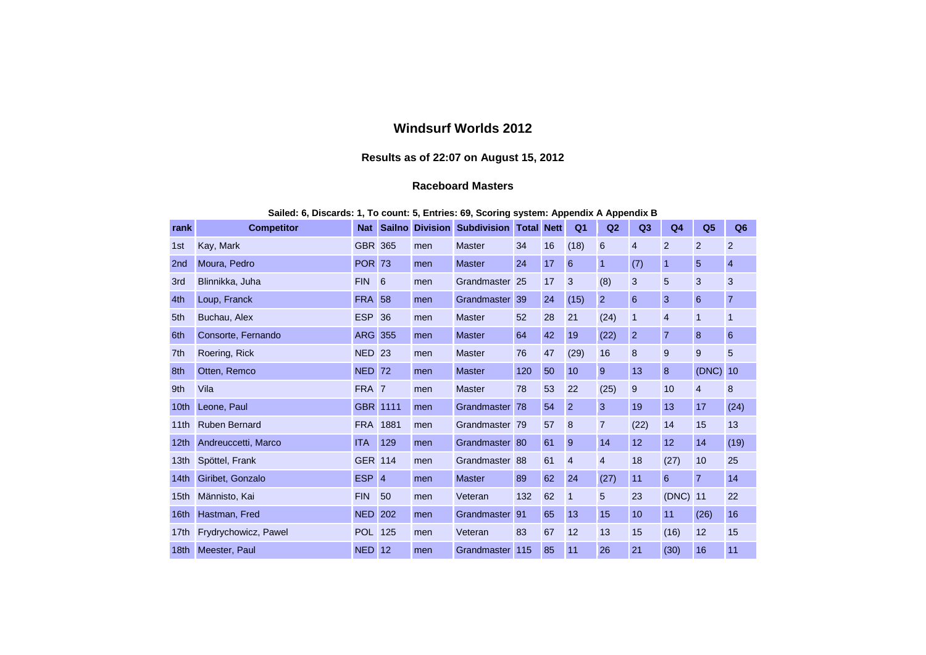## **Windsurf Worlds 2012**

## **Results as of 22:07 on August 15, 2012**

## **Raceboard Masters**

## **Sailed: 6, Discards: 1, To count: 5, Entries: 69, Scoring system: Appendix A Appendix B**

| rank             | <b>Competitor</b>    | <b>Nat</b>       | <b>Sailno</b>   | <b>Division</b> | <b>Subdivision</b> | <b>Total Nett</b> |    | Q <sub>1</sub> | Q2             | Q3             | Q <sub>4</sub> | Q <sub>5</sub> | Q <sub>6</sub> |
|------------------|----------------------|------------------|-----------------|-----------------|--------------------|-------------------|----|----------------|----------------|----------------|----------------|----------------|----------------|
| 1st              | Kay, Mark            | <b>GBR 365</b>   |                 | men             | <b>Master</b>      | 34                | 16 | (18)           | 6              | $\overline{4}$ | $\overline{2}$ | $\overline{2}$ | $\overline{2}$ |
| 2 <sub>nd</sub>  | Moura, Pedro         | <b>POR 73</b>    |                 | men             | <b>Master</b>      | 24                | 17 | 6              | $\mathbf{1}$   | (7)            | 1              | 5              | 4              |
| 3rd              | Blinnikka, Juha      | <b>FIN</b>       | 6               | men             | Grandmaster        | 25                | 17 | 3              | (8)            | 3              | 5              | 3              | 3              |
| 4th              | Loup, Franck         | <b>FRA 58</b>    |                 | men             | Grandmaster        | 39                | 24 | (15)           | $\overline{2}$ | 6              | 3              | 6              | $\overline{7}$ |
| 5th              | Buchau, Alex         | <b>ESP</b>       | 36              | men             | <b>Master</b>      | 52                | 28 | 21             | (24)           | $\mathbf{1}$   | 4              | 1              | 1              |
| 6th              | Consorte, Fernando   | <b>ARG 355</b>   |                 | men             | <b>Master</b>      | 64                | 42 | 19             | (22)           | $\overline{2}$ | $\overline{7}$ | 8              | 6              |
| 7th              | Roering, Rick        | <b>NED 23</b>    |                 | men             | <b>Master</b>      | 76                | 47 | (29)           | 16             | 8              | 9              | 9              | 5              |
| 8th              | Otten, Remco         | <b>NED 72</b>    |                 | men             | <b>Master</b>      | 120               | 50 | 10             | 9              | 13             | 8              | (DNC) 10       |                |
| 9th              | Vila                 | FRA <sub>7</sub> |                 | men             | <b>Master</b>      | 78                | 53 | 22             | (25)           | 9              | 10             | $\overline{4}$ | 8              |
| 10th             | Leone, Paul          |                  | <b>GBR</b> 1111 | men             | Grandmaster 78     |                   | 54 | $\overline{2}$ | 3              | 19             | 13             | 17             | (24)           |
| 11th             | <b>Ruben Bernard</b> | <b>FRA</b>       | 1881            | men             | Grandmaster 79     |                   | 57 | 8              | $\overline{7}$ | (22)           | 14             | 15             | 13             |
| 12 <sub>th</sub> | Andreuccetti, Marco  | <b>ITA</b>       | 129             | men             | Grandmaster 80     |                   | 61 | 9              | 14             | 12             | 12             | 14             | (19)           |
| 13 <sub>th</sub> | Spöttel, Frank       | <b>GER 114</b>   |                 | men             | Grandmaster 88     |                   | 61 | $\overline{4}$ | $\overline{4}$ | 18             | (27)           | 10             | 25             |
| 14 <sub>th</sub> | Giribet, Gonzalo     | <b>ESP</b>       | $\overline{4}$  | men             | <b>Master</b>      | 89                | 62 | 24             | (27)           | 11             | 6              | $\overline{7}$ | 14             |
| 15th             | Männisto, Kai        | <b>FIN</b>       | 50              | men             | Veteran            | 132               | 62 | $\mathbf 1$    | 5              | 23             | (DNC)          | 11             | 22             |
| 16th             | Hastman, Fred        | <b>NED</b> 202   |                 | men             | Grandmaster 91     |                   | 65 | 13             | 15             | 10             | 11             | (26)           | 16             |
| 17 <sub>th</sub> | Frydrychowicz, Pawel | <b>POL</b> 125   |                 | men             | Veteran            | 83                | 67 | 12             | 13             | 15             | (16)           | 12             | 15             |
|                  | 18th Meester, Paul   | <b>NED 12</b>    |                 | men             | Grandmaster 115    |                   | 85 | 11             | 26             | 21             | (30)           | 16             | 11             |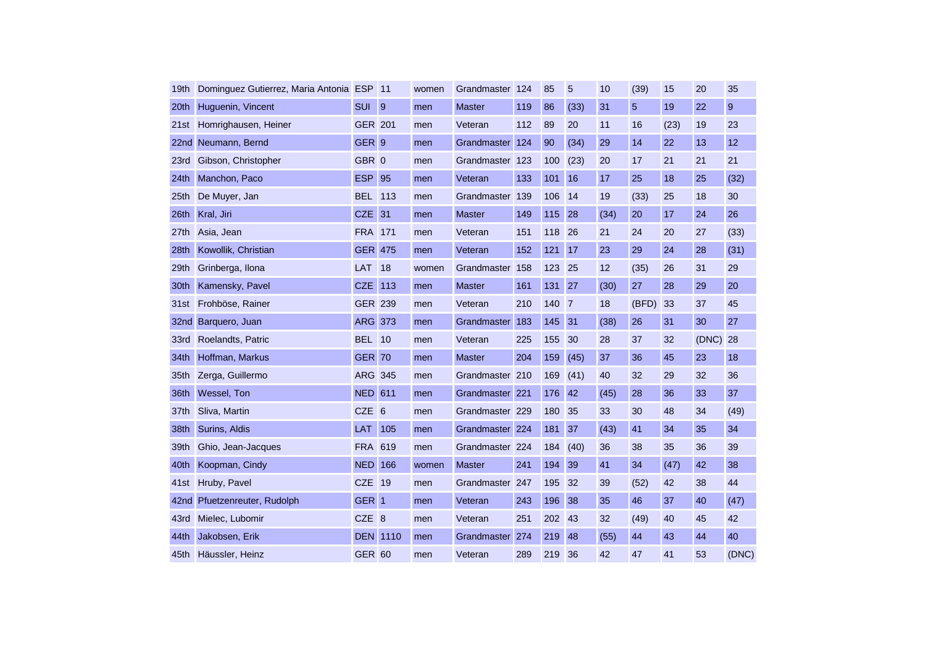| 19th             | Dominguez Gutierrez, Maria Antonia ESP |                  | 11   | women | Grandmaster 124 |     | 85  | 5              | 10   | (39)  | 15   | 20    | 35    |
|------------------|----------------------------------------|------------------|------|-------|-----------------|-----|-----|----------------|------|-------|------|-------|-------|
| 20th             | Huguenin, Vincent                      | <b>SUI</b>       | 9    | men   | <b>Master</b>   | 119 | 86  | (33)           | 31   | 5     | 19   | 22    | 9     |
| 21st             | Homrighausen, Heiner                   | <b>GER 201</b>   |      | men   | Veteran         | 112 | 89  | 20             | 11   | 16    | (23) | 19    | 23    |
| 22 <sub>nd</sub> | Neumann, Bernd                         | GER <sub>9</sub> |      | men   | Grandmaster     | 124 | 90  | (34)           | 29   | 14    | 22   | 13    | 12    |
| 23rd             | Gibson, Christopher                    | GBR 0            |      | men   | Grandmaster     | 123 | 100 | (23)           | 20   | 17    | 21   | 21    | 21    |
| 24 <sub>th</sub> | Manchon, Paco                          | <b>ESP</b>       | 95   | men   | Veteran         | 133 | 101 | 16             | 17   | 25    | 18   | 25    | (32)  |
| 25th             | De Muyer, Jan                          | <b>BEL</b>       | 113  | men   | Grandmaster     | 139 | 106 | 14             | 19   | (33)  | 25   | 18    | 30    |
| 26th             | Kral, Jiri                             | <b>CZE</b>       | 31   | men   | <b>Master</b>   | 149 | 115 | 28             | (34) | 20    | 17   | 24    | 26    |
| 27th             | Asia, Jean                             | <b>FRA 171</b>   |      | men   | Veteran         | 151 | 118 | 26             | 21   | 24    | 20   | 27    | (33)  |
| 28th             | Kowollik, Christian                    | <b>GER</b>       | 475  | men   | Veteran         | 152 | 121 | 17             | 23   | 29    | 24   | 28    | (31)  |
| 29th             | Grinberga, Ilona                       | LAT              | 18   | women | Grandmaster 158 |     | 123 | 25             | 12   | (35)  | 26   | 31    | 29    |
| 30th             | Kamensky, Pavel                        | <b>CZE</b>       | 113  | men   | <b>Master</b>   | 161 | 131 | 27             | (30) | 27    | 28   | 29    | 20    |
| 31st             | Frohböse, Rainer                       | <b>GER 239</b>   |      | men   | Veteran         | 210 | 140 | $\overline{7}$ | 18   | (BFD) | 33   | 37    | 45    |
| 32nd             | Barquero, Juan                         | <b>ARG 373</b>   |      | men   | Grandmaster     | 183 | 145 | 31             | (38) | 26    | 31   | 30    | 27    |
| 33rd             | Roelandts, Patric                      | <b>BEL</b> 10    |      | men   | Veteran         | 225 | 155 | 30             | 28   | 37    | 32   | (DNC) | 28    |
| 34th             | Hoffman, Markus                        | <b>GER 70</b>    |      | men   | <b>Master</b>   | 204 | 159 | (45)           | 37   | 36    | 45   | 23    | 18    |
| 35th             | Zerga, Guillermo                       | <b>ARG 345</b>   |      | men   | Grandmaster 210 |     | 169 | (41)           | 40   | 32    | 29   | 32    | 36    |
| 36th             | Wessel, Ton                            | <b>NED 611</b>   |      | men   | Grandmaster 221 |     | 176 | 42             | (45) | 28    | 36   | 33    | 37    |
| 37th             | Sliva, Martin                          | CZE <sub>6</sub> |      | men   | Grandmaster 229 |     | 180 | 35             | 33   | 30    | 48   | 34    | (49)  |
| 38th             | Surins, Aldis                          | <b>LAT</b>       | 105  | men   | Grandmaster 224 |     | 181 | 37             | (43) | 41    | 34   | 35    | 34    |
| 39th             | Ghio, Jean-Jacques                     | <b>FRA 619</b>   |      | men   | Grandmaster 224 |     | 184 | (40)           | 36   | 38    | 35   | 36    | 39    |
| 40th             | Koopman, Cindy                         | <b>NED</b>       | 166  | women | <b>Master</b>   | 241 | 194 | 39             | 41   | 34    | (47) | 42    | 38    |
| 41 <sub>st</sub> | Hruby, Pavel                           | <b>CZE</b> 19    |      | men   | Grandmaster 247 |     | 195 | 32             | 39   | (52)  | 42   | 38    | 44    |
| 42 <sub>nd</sub> | Pfuetzenreuter, Rudolph                | GER <sub>1</sub> |      | men   | Veteran         | 243 | 196 | 38             | 35   | 46    | 37   | 40    | (47)  |
| 43rd             | Mielec, Lubomir                        | CZE <sub>8</sub> |      | men   | Veteran         | 251 | 202 | 43             | 32   | (49)  | 40   | 45    | 42    |
| 44th             | Jakobsen, Erik                         | <b>DEN</b>       | 1110 | men   | Grandmaster     | 274 | 219 | 48             | (55) | 44    | 43   | 44    | 40    |
| 45th             | Häussler, Heinz                        | <b>GER 60</b>    |      | men   | Veteran         | 289 | 219 | 36             | 42   | 47    | 41   | 53    | (DNC) |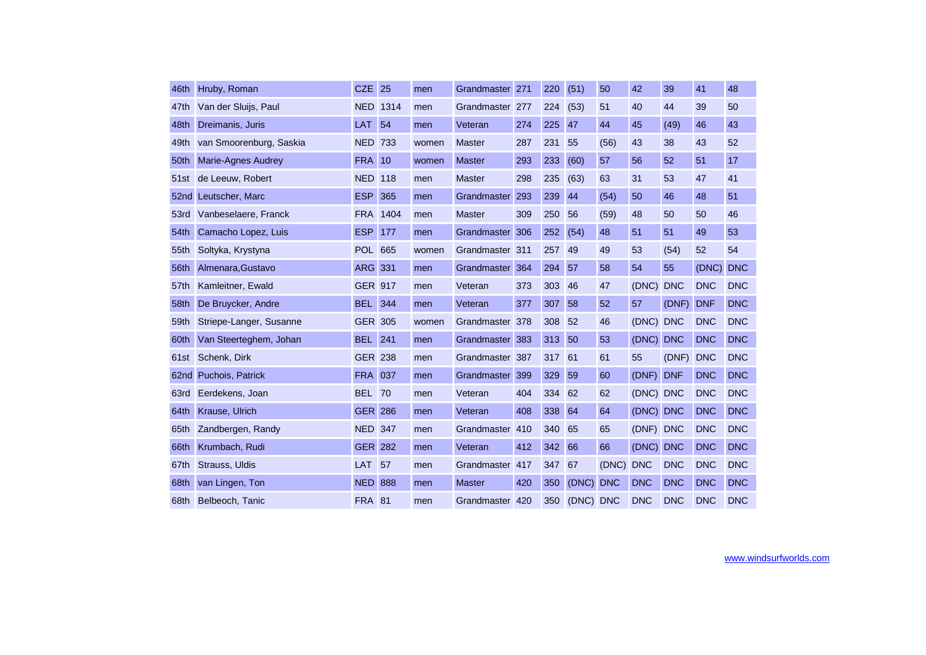| 46th | Hruby, Roman            | <b>CZE</b>     | 25   | men   | Grandmaster 271 |     | 220 | (51)  | 50         | 42         | 39         | 41         | 48         |
|------|-------------------------|----------------|------|-------|-----------------|-----|-----|-------|------------|------------|------------|------------|------------|
| 47th | Van der Sluijs, Paul    | <b>NED</b>     | 1314 | men   | Grandmaster     | 277 | 224 | (53)  | 51         | 40         | 44         | 39         | 50         |
| 48th | Dreimanis, Juris        | LAT            | 54   | men   | Veteran         | 274 | 225 | 47    | 44         | 45         | (49)       | 46         | 43         |
| 49th | van Smoorenburg, Saskia | <b>NED</b>     | 733  | women | <b>Master</b>   | 287 | 231 | 55    | (56)       | 43         | 38         | 43         | 52         |
| 50th | Marie-Agnes Audrey      | <b>FRA</b>     | 10   | women | <b>Master</b>   | 293 | 233 | (60)  | 57         | 56         | 52         | 51         | 17         |
| 51st | de Leeuw, Robert        | <b>NED</b>     | 118  | men   | <b>Master</b>   | 298 | 235 | (63)  | 63         | 31         | 53         | 47         | 41         |
|      | 52nd Leutscher, Marc    | <b>ESP</b>     | 365  | men   | Grandmaster     | 293 | 239 | 44    | (54)       | 50         | 46         | 48         | 51         |
| 53rd | Vanbeselaere, Franck    | <b>FRA</b>     | 1404 | men   | <b>Master</b>   | 309 | 250 | 56    | (59)       | 48         | 50         | 50         | 46         |
| 54th | Camacho Lopez, Luis     | <b>ESP</b>     | 177  | men   | Grandmaster     | 306 | 252 | (54)  | 48         | 51         | 51         | 49         | 53         |
| 55th | Soltyka, Krystyna       | <b>POL 665</b> |      | women | Grandmaster 311 |     | 257 | 49    | 49         | 53         | (54)       | 52         | 54         |
| 56th | Almenara, Gustavo       | <b>ARG</b>     | 331  | men   | Grandmaster     | 364 | 294 | 57    | 58         | 54         | 55         | (DNC)      | <b>DNC</b> |
| 57th | Kamleitner, Ewald       | <b>GER 917</b> |      | men   | Veteran         | 373 | 303 | 46    | 47         | (DNC)      | <b>DNC</b> | <b>DNC</b> | <b>DNC</b> |
| 58th | De Bruycker, Andre      | <b>BEL</b>     | 344  | men   | Veteran         | 377 | 307 | 58    | 52         | 57         | (DNF)      | <b>DNF</b> | <b>DNC</b> |
| 59th | Striepe-Langer, Susanne | <b>GER 305</b> |      | women | Grandmaster     | 378 | 308 | 52    | 46         | (DNC)      | <b>DNC</b> | <b>DNC</b> | <b>DNC</b> |
| 60th | Van Steerteghem, Johan  | BEL            | 241  | men   | Grandmaster     | 383 | 313 | 50    | 53         | (DNC)      | <b>DNC</b> | <b>DNC</b> | <b>DNC</b> |
| 61st | Schenk, Dirk            | <b>GER</b>     | 238  | men   | Grandmaster     | 387 | 317 | 61    | 61         | 55         | (DNF)      | <b>DNC</b> | <b>DNC</b> |
| 62nd | Puchois, Patrick        | <b>FRA</b>     | 037  | men   | Grandmaster     | 399 | 329 | 59    | 60         | (DNF)      | <b>DNF</b> | <b>DNC</b> | <b>DNC</b> |
| 63rd | Eerdekens, Joan         | <b>BEL</b>     | 70   | men   | Veteran         | 404 | 334 | 62    | 62         | (DNC)      | <b>DNC</b> | <b>DNC</b> | <b>DNC</b> |
| 64th | Krause, Ulrich          | <b>GER</b>     | 286  | men   | Veteran         | 408 | 338 | 64    | 64         | (DNC)      | <b>DNC</b> | <b>DNC</b> | <b>DNC</b> |
| 65th | Zandbergen, Randy       | <b>NED</b>     | 347  | men   | Grandmaster     | 410 | 340 | 65    | 65         | (DNF)      | <b>DNC</b> | <b>DNC</b> | <b>DNC</b> |
| 66th | Krumbach, Rudi          | <b>GER</b>     | 282  | men   | Veteran         | 412 | 342 | 66    | 66         | (DNC)      | <b>DNC</b> | <b>DNC</b> | <b>DNC</b> |
| 67th | Strauss, Uldis          | <b>LAT</b> 57  |      | men   | Grandmaster     | 417 | 347 | 67    | (DNC)      | <b>DNC</b> | <b>DNC</b> | <b>DNC</b> | <b>DNC</b> |
| 68th | van Lingen, Ton         | <b>NED</b>     | 888  | men   | <b>Master</b>   | 420 | 350 | (DNC) | <b>DNC</b> | <b>DNC</b> | <b>DNC</b> | <b>DNC</b> | <b>DNC</b> |
| 68th | Belbeoch, Tanic         | <b>FRA 81</b>  |      | men   | Grandmaster 420 |     | 350 | (DNC) | <b>DNC</b> | <b>DNC</b> | <b>DNC</b> | <b>DNC</b> | <b>DNC</b> |

[www.windsurfworlds.com](http://www.windsurfworlds.com/)